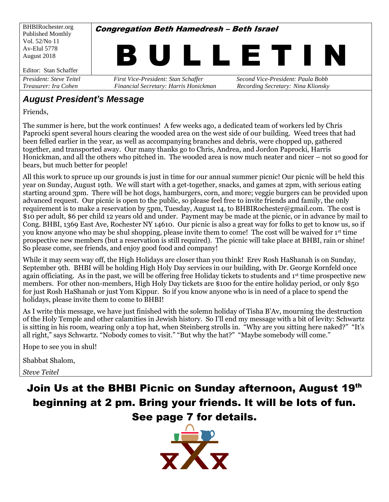

#### *August President's Message*

Friends,

The summer is here, but the work continues! A few weeks ago, a dedicated team of workers led by Chris Paprocki spent several hours clearing the wooded area on the west side of our building. Weed trees that had been felled earlier in the year, as well as accompanying branches and debris, were chopped up, gathered together, and transported away. Our many thanks go to Chris, Andrea, and Jordon Paprocki, Harris Honickman, and all the others who pitched in. The wooded area is now much neater and nicer – not so good for bears, but much better for people!

All this work to spruce up our grounds is just in time for our annual summer picnic! Our picnic will be held this year on Sunday, August 19th. We will start with a get-together, snacks, and games at 2pm, with serious eating starting around 3pm. There will be hot dogs, hamburgers, corn, and more; veggie burgers can be provided upon advanced request. Our picnic is open to the public, so please feel free to invite friends and family, the only requirement is to make a reservation by 5pm, Tuesday, August 14, to BHBIRochester@gmail.com. The cost is \$10 per adult, \$6 per child 12 years old and under. Payment may be made at the picnic, or in advance by mail to Cong. BHBI, 1369 East Ave, Rochester NY 14610. Our picnic is also a great way for folks to get to know us, so if you know anyone who may be shul shopping, please invite them to come! The cost will be waived for 1st time prospective new members (but a reservation is still required). The picnic will take place at BHBI, rain or shine! So please come, see friends, and enjoy good food and company!

While it may seem way off, the High Holidays are closer than you think! Erev Rosh HaShanah is on Sunday, September 9th. BHBI will be holding High Holy Day services in our building, with Dr. George Kornfeld once again officiating. As in the past, we will be offering free Holiday tickets to students and 1st time prospective new members. For other non-members, High Holy Day tickets are \$100 for the entire holiday period, or only \$50 for just Rosh HaShanah or just Yom Kippur. So if you know anyone who is in need of a place to spend the holidays, please invite them to come to BHBI!

As I write this message, we have just finished with the solemn holiday of Tisha B'Av, mourning the destruction of the Holy Temple and other calamities in Jewish history. So I'll end my message with a bit of levity: Schwartz is sitting in his room, wearing only a top hat, when Steinberg strolls in. "Why are you sitting here naked?" "It's all right," says Schwartz. "Nobody comes to visit." "But why the hat?" "Maybe somebody will come."

Hope to see you in shul!

Shabbat Shalom,

*Steve Teitel*

Join Us at the BHBI Picnic on Sunday afternoon, August 19th beginning at 2 pm. Bring your friends. It will be lots of fun. See page 7 for details.

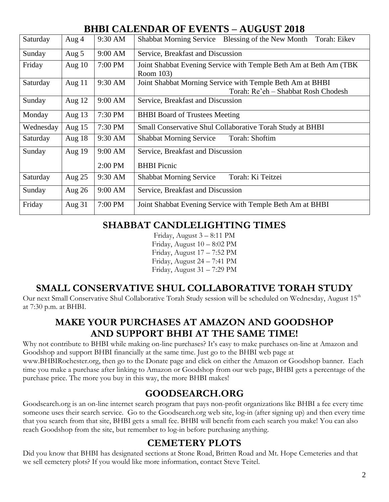### **BHBI CALENDAR OF EVENTS – AUGUST 2018**

| Saturday  | Aug $4$  | 9:30 AM | Blessing of the New Month<br>Torah: Eikev<br><b>Shabbat Morning Service</b> |  |  |
|-----------|----------|---------|-----------------------------------------------------------------------------|--|--|
| Sunday    | Aug 5    | 9:00 AM | Service, Breakfast and Discussion                                           |  |  |
| Friday    | Aug $10$ | 7:00 PM | Joint Shabbat Evening Service with Temple Beth Am at Beth Am (TBK           |  |  |
|           |          |         | Room 103)                                                                   |  |  |
| Saturday  | Aug $11$ | 9:30 AM | Joint Shabbat Morning Service with Temple Beth Am at BHBI                   |  |  |
|           |          |         | Torah: Re'eh - Shabbat Rosh Chodesh                                         |  |  |
| Sunday    | Aug 12   | 9:00 AM | Service, Breakfast and Discussion                                           |  |  |
| Monday    | Aug $13$ | 7:30 PM | <b>BHBI</b> Board of Trustees Meeting                                       |  |  |
| Wednesday | Aug $15$ | 7:30 PM | Small Conservative Shul Collaborative Torah Study at BHBI                   |  |  |
| Saturday  | Aug $18$ | 9:30 AM | <b>Shabbat Morning Service</b><br>Torah: Shoftim                            |  |  |
| Sunday    | Aug 19   | 9:00 AM | Service, Breakfast and Discussion                                           |  |  |
|           |          | 2:00 PM | <b>BHBI</b> Picnic                                                          |  |  |
| Saturday  | Aug $25$ | 9:30 AM | Torah: Ki Teitzei<br><b>Shabbat Morning Service</b>                         |  |  |
| Sunday    | Aug 26   | 9:00 AM | Service, Breakfast and Discussion                                           |  |  |
| Friday    | Aug $31$ | 7:00 PM | Joint Shabbat Evening Service with Temple Beth Am at BHBI                   |  |  |

#### **SHABBAT CANDLELIGHTING TIMES**

Friday, August 3 – 8:11 PM Friday, August 10 – 8:02 PM Friday, August 17 – 7:52 PM Friday, August 24 – 7:41 PM Friday, August 31 – 7:29 PM

### **SMALL CONSERVATIVE SHUL COLLABORATIVE TORAH STUDY**

Our next Small Conservative Shul Collaborative Torah Study session will be scheduled on Wednesday, August 15<sup>th</sup> at 7:30 p.m. at BHBI.

## **MAKE YOUR PURCHASES AT AMAZON AND GOODSHOP AND SUPPORT BHBI AT THE SAME TIME!**

Why not contribute to BHBI while making on-line purchases? It's easy to make purchases on-line at Amazon and Goodshop and support BHBI financially at the same time. Just go to the BHBI web page at [www.BHBIRochester.org,](http://www.bhbirochester.org/) then go to the Donate page and click on either the Amazon or Goodshop banner. Each time you make a purchase after linking to Amazon or Goodshop from our web page, BHBI gets a percentage of the purchase price. The more you buy in this way, the more BHBI makes!

#### **GOODSEARCH.ORG**

Goodsearch.org is an on-line internet search program that pays non-profit organizations like BHBI a fee every time someone uses their search service. Go to the Goodsearch.org [web site, log-in \(after signing up\)](http://www.goodsearch.com/) and then every time [that you search from that site,](http://www.goodsearch.com/) BHBI gets a small fee. BHBI will benefit from each search you make! You can also reach Goodshop from the site, but remember to log-in before purchasing anything.

#### **CEMETERY PLOTS**

Did you know that BHBI has designated sections at Stone Road, Britten Road and Mt. Hope Cemeteries and that we sell cemetery plots? If you would like more information, contact Steve Teitel.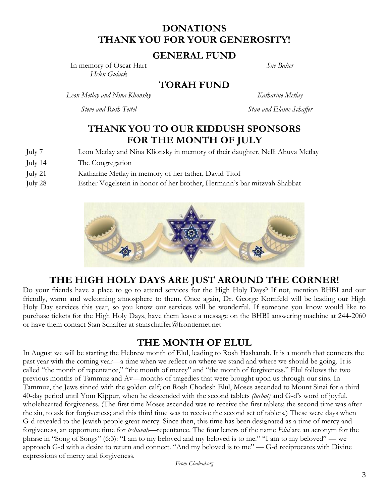#### **DONATIONS THANK YOU FOR YOUR GENEROSITY!**

#### **GENERAL FUND**

In memory of Oscar Hart *Helen Gulack*

*Sue Baker*

**TORAH FUND**

*Leon Metlay and Nina Klionsky Katharine Metlay*

*Steve and Ruth Teitel Stan and Elaine Schaffer*

#### **THANK YOU TO OUR KIDDUSH SPONSORS FOR THE MONTH OF JULY**

- July 7 Leon Metlay and Nina Klionsky in memory of their daughter, Nelli Ahuva Metlay
- July 14 The Congregation
- July 21 Katharine Metlay in memory of her father, David Titof
- July 28 Esther Vogelstein in honor of her brother, Hermann's bar mitzvah Shabbat



#### **THE HIGH HOLY DAYS ARE JUST AROUND THE CORNER!**

Do your friends have a place to go to attend services for the High Holy Days? If not, mention BHBI and our friendly, warm and welcoming atmosphere to them. Once again, Dr. George Kornfeld will be leading our High Holy Day services this year, so you know our services will be wonderful. If someone you know would like to purchase tickets for the High Holy Days, have them leave a message on the BHBI answering machine at 244-2060 or have them contact Stan Schaffer at [stanschaffer@frontiernet.net](mailto:stanschaffer@frontiernet.net)

#### **THE MONTH OF ELUL**

In August we will be starting the Hebrew month of Elul, leading to Rosh Hashanah. It is a month that connects the past year with the coming year—a time when we reflect on where we stand and where we should be going. It is called "the month of repentance," "the month of mercy" and "the month of forgiveness." Elul follows the two previous months of Tammuz and Av—months of tragedies that were brought upon us through our sins. In Tammuz, the Jews sinned with the golden calf; on Rosh Chodesh Elul, Moses ascended to Mount Sinai for a third 40-day period until Yom Kippur, when he descended with the second tablets *(luchot)* and G-d's word of joyful, wholehearted forgiveness. (The first time Moses ascended was to receive the first tablets; the second time was after the sin, to ask for forgiveness; and this third time was to receive the second set of tablets.) These were days when G-d revealed to the Jewish people great mercy. Since then, this time has been designated as a time of mercy and forgiveness, an opportune time for *teshuvah*—repentance. The four letters of the name *Elul* are an acronym for the phrase in "Song of Songs" (6:3): "I am to my beloved and my beloved is to me." "I am to my beloved" — we approach G-d with a desire to return and connect. "And my beloved is to me" — G-d reciprocates with Divine expressions of mercy and forgiveness.

*From Chabad.org*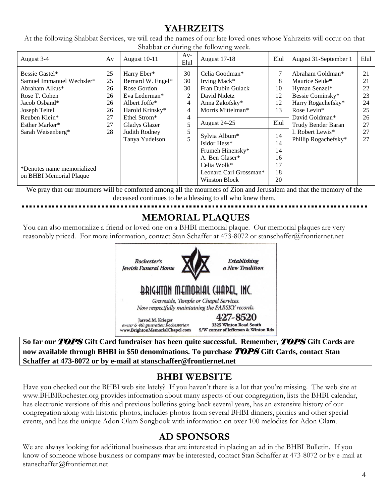### **YAHRZEITS**

At the following Shabbat Services, we will read the names of our late loved ones whose Yahrzeits will occur on that Shabbat or during the following week.

We pray that our mourners will be comforted among all the mourners of Zion and Jerusalem and that the memory of the deceased continues to be a blessing to all who knew them.

## **MEMORIAL PLAQUES**

You can also memorialize a friend or loved one on a BHBI memorial plaque. Our memorial plaques are very reasonably priced. For more information, contact Stan Schaffer at 473-8072 or [stanschaffer@frontiernet.net](mailto:stanschaffer@frontiernet.net)



**So far our** *TOPS* **Gift Card fundraiser has been quite successful. Remember,** *TOPS* **Gift Cards are now available through BHBI in \$50 denominations. To purchase** *TOPS* **Gift Cards, contact Stan Schaffer at 473-8072 or by e-mail at [stanschaffer@frontiernet.net](mailto:stanschaffer@frontiernet.net)**

### **BHBI WEBSITE**

Have you checked out the BHBI web site lately? If you haven't there is a lot that you're missing. The web site at [www.BHBIRochester.org](http://www.bhbirochester.org/) provides information about many aspects of our congregation, lists the BHBI calendar, has electronic versions of this and previous bulletins going back several years, has an extensive history of our congregation along with historic photos, includes photos from several BHBI dinners, picnics and other special events, and has the unique Adon Olam Songbook with information on over 100 melodies for Adon Olam.

## **AD SPONSORS**

We are always looking for additional businesses that are interested in placing an ad in the BHBI Bulletin. If you know of someone whose business or company may be interested, contact Stan Schaffer at 473-8072 or by e-mail at [stanschaffer@frontiernet.net](mailto:stanschaffer@frontiernet.net)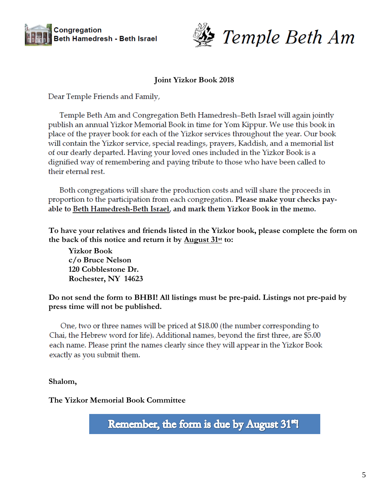



#### **Joint Yizkor Book 2018**

Dear Temple Friends and Family,

Temple Beth Am and Congregation Beth Hamedresh–Beth Israel will again jointly publish an annual Yizkor Memorial Book in time for Yom Kippur. We use this book in place of the prayer book for each of the Yizkor services throughout the year. Our book will contain the Yizkor service, special readings, prayers, Kaddish, and a memorial list of our dearly departed. Having your loved ones included in the Yizkor Book is a dignified way of remembering and paying tribute to those who have been called to their eternal rest.

Both congregations will share the production costs and will share the proceeds in proportion to the participation from each congregation. Please make your checks payable to Beth Hamedresh-Beth Israel, and mark them Yizkor Book in the memo.

**To have your relatives and friends listed in the Yizkor book, please complete the form on the back of this notice and return it by August 31st to:**

**Yizkor Book c/o Bruce Nelson 120 Cobblestone Dr. Rochester, NY 14623** 

**Do not send the form to BHBI! All listings must be pre-paid. Listings not pre-paid by press time will not be published.**

One, two or three names will be priced at \$18.00 (the number corresponding to Chai, the Hebrew word for life). Additional names, beyond the first three, are \$5.00 each name. Please print the names clearly since they will appear in the Yizkor Book exactly as you submit them.

**Shalom,**

**The Yizkor Memorial Book Committee**

Remember, the form is due by August 31<sup>eq</sup>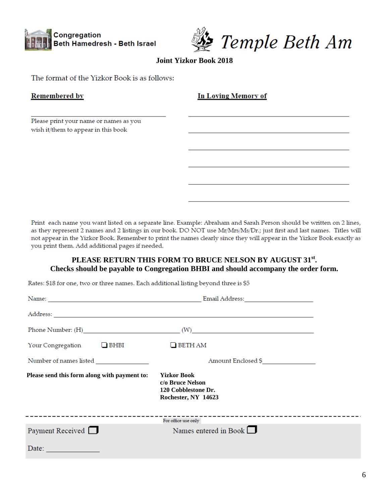



**Joint Yizkor Book 2018**

The format of the Yizkor Book is as follows:

| <b>Remembered by</b>                   | <b>In Loving Memory of</b> |
|----------------------------------------|----------------------------|
| Please print your name or names as you |                            |
| wish it/them to appear in this book    |                            |
|                                        |                            |
|                                        |                            |
|                                        |                            |

Print each name you want listed on a separate line. Example: Abraham and Sarah Person should be written on 2 lines, as they represent 2 names and 2 listings in our book. DO NOT use Mr/Mrs/Ms/Dr.; just first and last names. Titles will not appear in the Yizkor Book. Remember to print the names clearly since they will appear in the Yizkor Book exactly as you print them. Add additional pages if needed.

#### **PLEASE RETURN THIS FORM TO BRUCE NELSON BY AUGUST 31st . Checks should be payable to Congregation BHBI and should accompany the order form.**

Rates: \$18 for one, two or three names. Each additional listing beyond three is \$5

|                                              | Phone Number: $(H)$ (W)                                                              |
|----------------------------------------------|--------------------------------------------------------------------------------------|
| Your Congregation $\Box$ BHBI                | $\Box$ BETH AM                                                                       |
|                                              | Amount Enclosed \$                                                                   |
| Please send this form along with payment to: | <b>Yizkor Book</b><br>c/o Bruce Nelson<br>120 Cobblestone Dr.<br>Rochester, NY 14623 |
|                                              | For office use only                                                                  |
| Payment Received $\Box$                      | Names entered in Book $\Box$                                                         |
| Date:                                        |                                                                                      |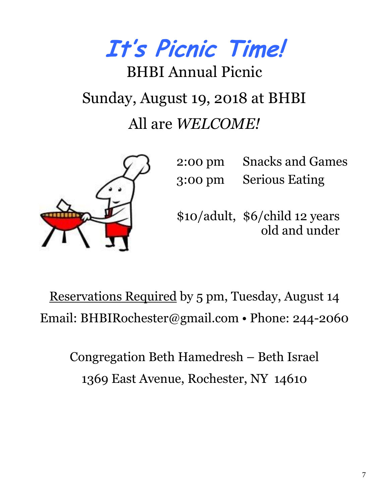**It's Picnic Time!**

# BHBI Annual Picnic Sunday, August 19, 2018 at BHBI All are *WELCOME!*



2:00 pm Snacks and Games 3:00 pm Serious Eating

\$10/adult, \$6/child 12 years old and under

Reservations Required by 5 pm, Tuesday, August 14 Email: BHBIRochester@gmail.com • Phone: 244-2060

Congregation Beth Hamedresh – Beth Israel 1369 East Avenue, Rochester, NY 14610